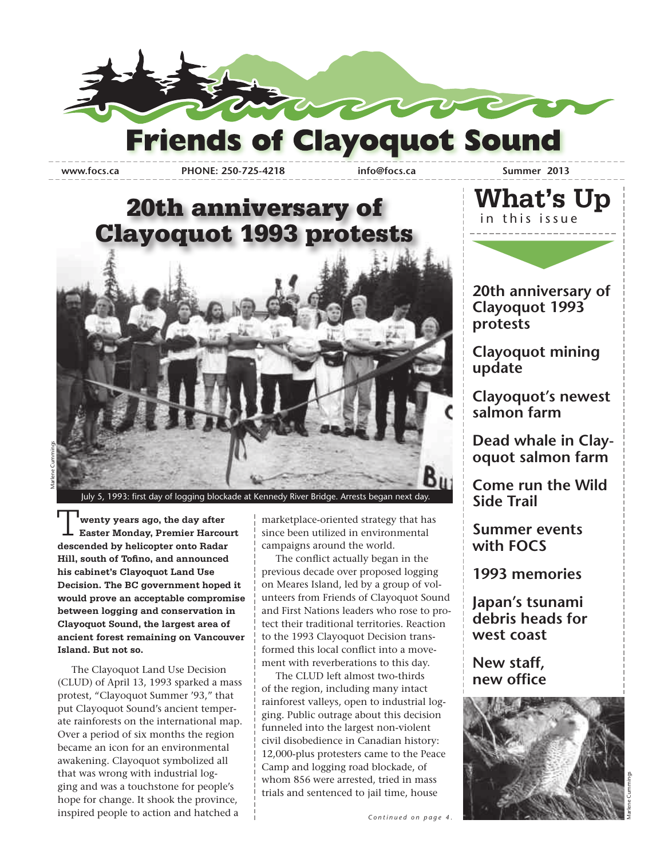

**www.focs.ca PHONE: 250-725-4218 info@focs.ca Summer 2013**

### 20th anniversary of Clayoquot 1993 protests



July 5, 1993: first day of logging blockade at Kennedy River Bridge. Arrests began next day

 **wenty years ago, the day after Easter Monday, Premier Harcourt descended by helicopter onto Radar Hill, south of Tofino, and announced his cabinet's Clayoquot Land Use Decision. The BC government hoped it would prove an acceptable compromise between logging and conservation in Clayoquot Sound, the largest area of ancient forest remaining on Vancouver Island. But not so.** T

 The Clayoquot Land Use Decision (CLUD) of April 13, 1993 sparked a mass protest, "Clayoquot Summer '93," that put Clayoquot Sound's ancient temperate rainforests on the international map. Over a period of six months the region became an icon for an environmental awakening. Clayoquot symbolized all that was wrong with industrial logging and was a touchstone for people's hope for change. It shook the province, inspired people to action and hatched a

marketplace-oriented strategy that has since been utilized in environmental campaigns around the world.

 The conflict actually began in the previous decade over proposed logging on Meares Island, led by a group of volunteers from Friends of Clayoquot Sound and First Nations leaders who rose to protect their traditional territories. Reaction to the 1993 Clayoquot Decision transformed this local conflict into a movement with reverberations to this day.

 The CLUD left almost two-thirds of the region, including many intact rainforest valleys, open to industrial logging. Public outrage about this decision funneled into the largest non-violent civil disobedience in Canadian history: 12,000-plus protesters came to the Peace Camp and logging road blockade, of whom 856 were arrested, tried in mass trials and sentenced to jail time, house



**20th anniversary of Clayoquot 1993 protests**

**Clayoquot mining update**

**Clayoquot's newest salmon farm** 

**Dead whale in Clayoquot salmon farm**

**Come run the Wild Side Trail**

**Summer events with FOCS**

**1993 memories**

**Japan's tsunami debris heads for west coast**

**New staff, new office**

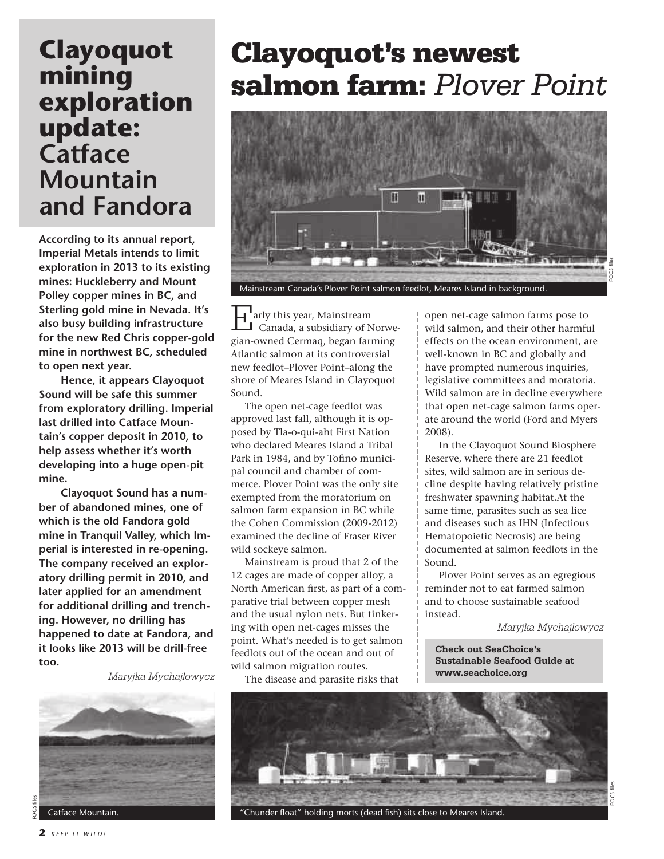### **Clayoquot mining exploration update: Catface Mountain and Fandora**

**According to its annual report, Imperial Metals intends to limit exploration in 2013 to its existing mines: Huckleberry and Mount Polley copper mines in BC, and Sterling gold mine in Nevada. It's also busy building infrastructure for the new Red Chris copper-gold mine in northwest BC, scheduled to open next year.**

 **Hence, it appears Clayoquot Sound will be safe this summer from exploratory drilling. Imperial last drilled into Catface Mountain's copper deposit in 2010, to help assess whether it's worth developing into a huge open-pit mine.**

 **Clayoquot Sound has a number of abandoned mines, one of which is the old Fandora gold mine in Tranquil Valley, which Imperial is interested in re-opening. The company received an exploratory drilling permit in 2010, and later applied for an amendment for additional drilling and trenching. However, no drilling has happened to date at Fandora, and it looks like 2013 will be drill-free too.**

*Maryjka Mychajlowycz*



**2** *KEEP IT WILD!*

## Clayoquot's newest salmon farm: *Plover Point*



**4** arly this year, Mainstream Canada, a subsidiary of Norwegian-owned Cermaq, began farming Atlantic salmon at its controversial new feedlot–Plover Point–along the shore of Meares Island in Clayoquot Sound. Tarly this year, Mainstream<br>
Canada, a subsidiary of Norwe- wild salmon, and their other harmfu

 The open net-cage feedlot was approved last fall, although it is opposed by Tla-o-qui-aht First Nation who declared Meares Island a Tribal Park in 1984, and by Tofino municipal council and chamber of commerce. Plover Point was the only site exempted from the moratorium on salmon farm expansion in BC while the Cohen Commission (2009-2012) examined the decline of Fraser River wild sockeye salmon.

 Mainstream is proud that 2 of the 12 cages are made of copper alloy, a North American first, as part of a comparative trial between copper mesh and the usual nylon nets. But tinkering with open net-cages misses the point. What's needed is to get salmon feedlots out of the ocean and out of wild salmon migration routes.

The disease and parasite risks that

wild salmon, and their other harmful effects on the ocean environment, are well-known in BC and globally and have prompted numerous inquiries, legislative committees and moratoria. Wild salmon are in decline everywhere that open net-cage salmon farms operate around the world (Ford and Myers 2008).

 In the Clayoquot Sound Biosphere Reserve, where there are 21 feedlot sites, wild salmon are in serious decline despite having relatively pristine freshwater spawning habitat.At the same time, parasites such as sea lice and diseases such as IHN (Infectious Hematopoietic Necrosis) are being documented at salmon feedlots in the Sound.

 Plover Point serves as an egregious reminder not to eat farmed salmon and to choose sustainable seafood instead.

*Maryjka Mychajlowycz*

**Check out SeaChoice's Sustainable Seafood Guide at www.seachoice.org**

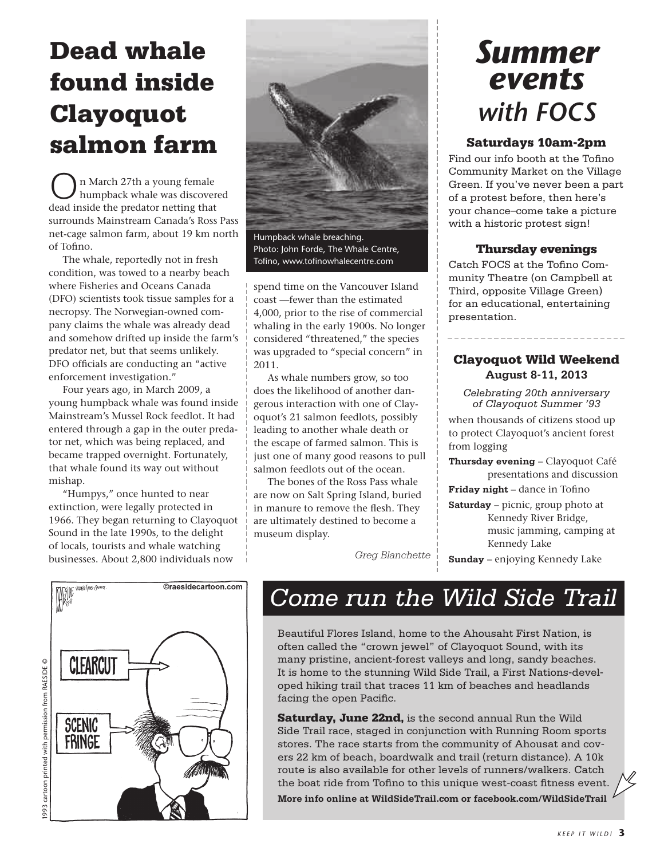## Dead whale found inside Clayoquot salmon farm

n March 27th a young female humpback whale was discovered dead inside the predator netting that surrounds Mainstream Canada's Ross Pass net-cage salmon farm, about 19 km north of Tofino.

 The whale, reportedly not in fresh condition, was towed to a nearby beach where Fisheries and Oceans Canada (DFO) scientists took tissue samples for a necropsy. The Norwegian-owned company claims the whale was already dead and somehow drifted up inside the farm's predator net, but that seems unlikely. DFO officials are conducting an "active enforcement investigation."

 Four years ago, in March 2009, a young humpback whale was found inside Mainstream's Mussel Rock feedlot. It had entered through a gap in the outer predator net, which was being replaced, and became trapped overnight. Fortunately, that whale found its way out without mishap.

 "Humpys," once hunted to near extinction, were legally protected in 1966. They began returning to Clayoquot Sound in the late 1990s, to the delight of locals, tourists and whale watching businesses. About 2,800 individuals now





Humpback whale breaching. Photo: John Forde, The Whale Centre, Tofino, www.tofinowhalecentre.com

spend time on the Vancouver Island coast —fewer than the estimated 4,000, prior to the rise of commercial whaling in the early 1900s. No longer considered "threatened," the species was upgraded to "special concern" in 2011.

 As whale numbers grow, so too does the likelihood of another dangerous interaction with one of Clayoquot's 21 salmon feedlots, possibly leading to another whale death or the escape of farmed salmon. This is just one of many good reasons to pull salmon feedlots out of the ocean.

 The bones of the Ross Pass whale are now on Salt Spring Island, buried in manure to remove the flesh. They are ultimately destined to become a museum display.

## *Summer events with FOCS*

### Saturdays 10am-2pm

Find our info booth at the Tofino Community Market on the Village Green. If you've never been a part of a protest before, then here's your chance–come take a picture with a historic protest sign!

### Thursday evenings

Catch FOCS at the Tofino Community Theatre (on Campbell at Third, opposite Village Green) for an educational, entertaining presentation.

### Clayoquot Wild Weekend **August 8-11, 2013**

*Celebrating 20th anniversary of Clayoquot Summer '93* 

when thousands of citizens stood up to protect Clayoquot's ancient forest from logging

**Thursday evening** – Clayoquot Café presentations and discussion

**Friday night** – dance in Tofino

**Saturday** – picnic, group photo at Kennedy River Bridge, music jamming, camping at Kennedy Lake

*Greg Blanchette* **Sunday** – enjoying Kennedy Lake

### *Come run the Wild Side Trail*

Beautiful Flores Island, home to the Ahousaht First Nation, is often called the "crown jewel" of Clayoquot Sound, with its many pristine, ancient-forest valleys and long, sandy beaches. It is home to the stunning Wild Side Trail, a First Nations-developed hiking trail that traces 11 km of beaches and headlands facing the open Pacific.

Saturday, June 22nd, is the second annual Run the Wild Side Trail race, staged in conjunction with Running Room sports stores. The race starts from the community of Ahousat and covers 22 km of beach, boardwalk and trail (return distance). A 10k route is also available for other levels of runners/walkers. Catch the boat ride from Tofino to this unique west-coast fitness event. **More info online at WildSideTrail.com or facebook.com/WildSideTrail**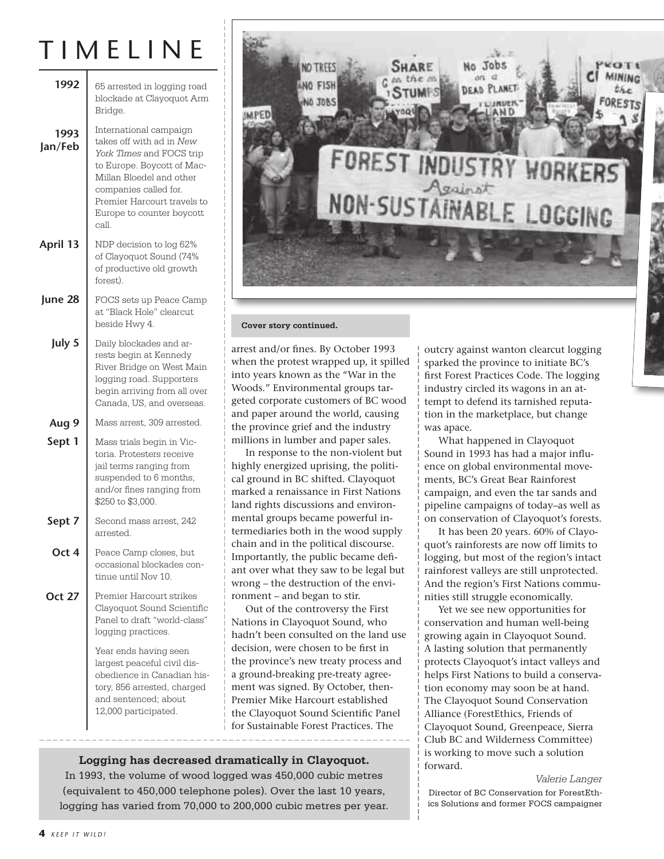## T I M E L I N E

| 1992            | 65 arrested in logging road<br>blockade at Clayoquot Arm<br>Bridge.                                                                                                                                                                                                               |  |  |
|-----------------|-----------------------------------------------------------------------------------------------------------------------------------------------------------------------------------------------------------------------------------------------------------------------------------|--|--|
| 1993<br>Jan/Feb | International campaign<br>takes off with ad in New<br>York Times and FOCS trip<br>to Europe. Boycott of Mac-<br>Millan Bloedel and other<br>companies called for.<br>Premier Harcourt travels to<br>Europe to counter boycott<br>call.                                            |  |  |
| April 13        | NDP decision to log 62%<br>of Clayoquot Sound (74%<br>of productive old growth<br>forest).                                                                                                                                                                                        |  |  |
| June 28         | FOCS sets up Peace Camp<br>at "Black Hole" clearcut<br>beside Hwy 4.                                                                                                                                                                                                              |  |  |
| July 5          | Daily blockades and ar-<br>rests begin at Kennedy<br>River Bridge on West Main<br>logging road. Supporters<br>begin arriving from all over<br>Canada, US, and overseas.                                                                                                           |  |  |
| Aug 9           | Mass arrest, 309 arrested.                                                                                                                                                                                                                                                        |  |  |
| Sept 1          | Mass trials begin in Vic-<br>toria. Protesters receive<br>jail terms ranging from<br>suspended to 6 months,<br>and/or fines ranging from<br>\$250 to \$3,000.                                                                                                                     |  |  |
| Sept 7          | Second mass arrest, 242<br>arrested.                                                                                                                                                                                                                                              |  |  |
| Oct 4           | Peace Camp closes, but<br>occasional blockades con-<br>tinue until Nov 10.                                                                                                                                                                                                        |  |  |
| Oct 27          | Premier Harcourt strikes<br>Clayoquot Sound Scientific<br>Panel to draft "world-class"<br>logging practices.<br>Year ends having seen<br>largest peaceful civil dis-<br>obedience in Canadian his-<br>tory, 856 arrested, charged<br>and sentenced; about<br>12,000 participated. |  |  |
|                 |                                                                                                                                                                                                                                                                                   |  |  |



#### **Cover story continued.**

arrest and/or fines. By October 1993 when the protest wrapped up, it spilled into years known as the "War in the Woods." Environmental groups targeted corporate customers of BC wood and paper around the world, causing the province grief and the industry millions in lumber and paper sales.

 In response to the non-violent but highly energized uprising, the political ground in BC shifted. Clayoquot marked a renaissance in First Nations land rights discussions and environmental groups became powerful intermediaries both in the wood supply chain and in the political discourse. Importantly, the public became defiant over what they saw to be legal but wrong – the destruction of the environment – and began to stir.

 Out of the controversy the First Nations in Clayoquot Sound, who hadn't been consulted on the land use decision, were chosen to be first in the province's new treaty process and a ground-breaking pre-treaty agreement was signed. By October, then-Premier Mike Harcourt established the Clayoquot Sound Scientific Panel for Sustainable Forest Practices. The

**Logging has decreased dramatically in Clayoquot.**

In 1993, the volume of wood logged was 450,000 cubic metres (equivalent to 450,000 telephone poles). Over the last 10 years, logging has varied from 70,000 to 200,000 cubic metres per year. outcry against wanton clearcut logging sparked the province to initiate BC's first Forest Practices Code. The logging industry circled its wagons in an attempt to defend its tarnished reputation in the marketplace, but change was apace.

 What happened in Clayoquot Sound in 1993 has had a major influence on global environmental movements, BC's Great Bear Rainforest campaign, and even the tar sands and pipeline campaigns of today–as well as on conservation of Clayoquot's forests.

 It has been 20 years. 60% of Clayoquot's rainforests are now off limits to logging, but most of the region's intact rainforest valleys are still unprotected. And the region's First Nations communities still struggle economically.

 Yet we see new opportunities for conservation and human well-being growing again in Clayoquot Sound. A lasting solution that permanently protects Clayoquot's intact valleys and helps First Nations to build a conservation economy may soon be at hand. The Clayoquot Sound Conservation Alliance (ForestEthics, Friends of Clayoquot Sound, Greenpeace, Sierra Club BC and Wilderness Committee) is working to move such a solution forward.

#### *Valerie Langer*

Director of BC Conservation for ForestEthics Solutions and former FOCS campaigner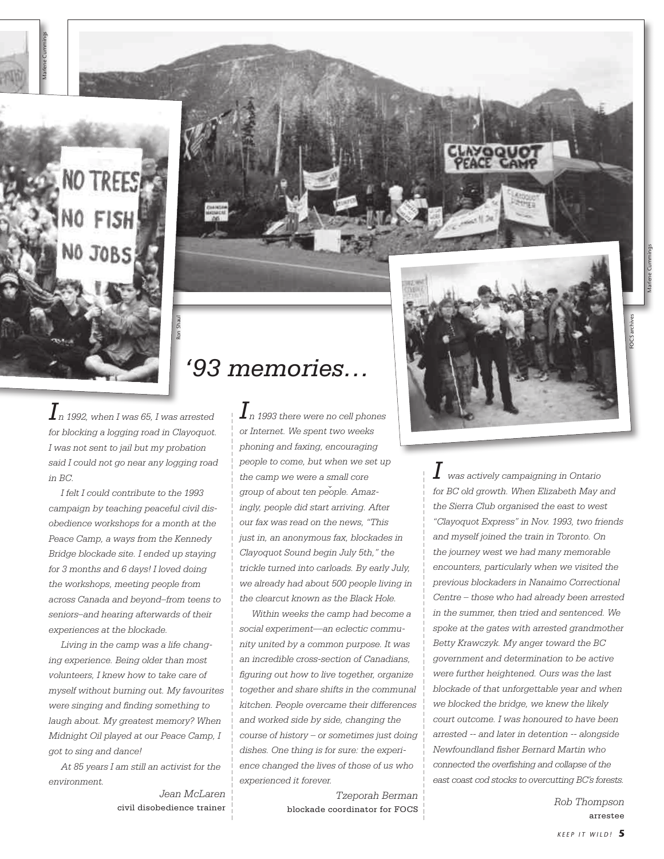

Marlene Cummings

### *'93 memories…*

 $\boldsymbol{I}$ n 1992, when I was 65, I was arrested  $\quad$   $\mid$   $\boldsymbol{I}$ *for blocking a logging road in Clayoquot. I was not sent to jail but my probation said I could not go near any logging road in BC.* 

Ron Shaul

 *I felt I could contribute to the 1993 campaign by teaching peaceful civil disobedience workshops for a month at the Peace Camp, a ways from the Kennedy Bridge blockade site. I ended up staying for 3 months and 6 days! I loved doing the workshops, meeting people from across Canada and beyond–from teens to seniors–and hearing afterwards of their experiences at the blockade.*

 *Living in the camp was a life changing experience. Being older than most volunteers, I knew how to take care of myself without burning out. My favourites were singing and finding something to laugh about. My greatest memory? When Midnight Oil played at our Peace Camp, I got to sing and dance!*

 *At 85 years I am still an activist for the environment.*

*Jean McLaren* civil disobedience trainer

 *n 1993 there were no cell phones or Internet. We spent two weeks phoning and faxing, encouraging people to come, but when we set up the camp we were a small core group of about ten people. Amazingly, people did start arriving. After our fax was read on the news, "This just in, an anonymous fax, blockades in Clayoquot Sound begin July 5th," the trickle turned into carloads. By early July, we already had about 500 people living in the clearcut known as the Black Hole.*

 *Within weeks the camp had become a social experiment––an eclectic community united by a common purpose. It was an incredible cross-section of Canadians, figuring out how to live together, organize together and share shifts in the communal kitchen. People overcame their differences and worked side by side, changing the course of history – or sometimes just doing dishes. One thing is for sure: the experience changed the lives of those of us who experienced it forever.* 

> *Tzeporah Berman* blockade coordinator for FOCS *Rob Thompson*



 $\boldsymbol{I}$  was actively campaigning in Ontario *for BC old growth. When Elizabeth May and the Sierra Club organised the east to west "Clayoquot Express" in Nov. 1993, two friends and myself joined the train in Toronto. On the journey west we had many memorable encounters, particularly when we visited the previous blockaders in Nanaimo Correctional Centre – those who had already been arrested in the summer, then tried and sentenced. We spoke at the gates with arrested grandmother Betty Krawczyk. My anger toward the BC government and determination to be active were further heightened. Ours was the last blockade of that unforgettable year and when we blocked the bridge, we knew the likely court outcome. I was honoured to have been arrested -- and later in detention -- alongside Newfoundland fisher Bernard Martin who connected the overfishing and collapse of the east coast cod stocks to overcutting BC's forests.*

arrestee

FOCS archives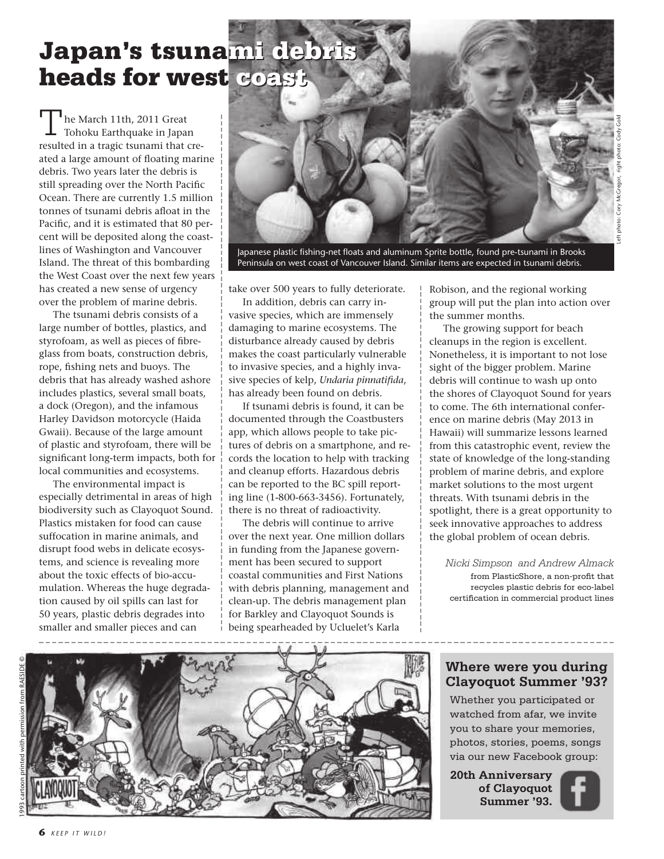## Japan's tsuna<mark>mi debris</mark> heads for west coast

The March 11th, 2011 Great<br>Tohoku Earthquake in Japan he March 11th, 2011 Great resulted in a tragic tsunami that created a large amount of floating marine debris. Two years later the debris is still spreading over the North Pacific Ocean. There are currently 1.5 million tonnes of tsunami debris afloat in the Pacific, and it is estimated that 80 percent will be deposited along the coastlines of Washington and Vancouver Island. The threat of this bombarding the West Coast over the next few years has created a new sense of urgency over the problem of marine debris.

 The tsunami debris consists of a large number of bottles, plastics, and styrofoam, as well as pieces of fibreglass from boats, construction debris, rope, fishing nets and buoys. The debris that has already washed ashore includes plastics, several small boats, a dock (Oregon), and the infamous Harley Davidson motorcycle (Haida Gwaii). Because of the large amount of plastic and styrofoam, there will be significant long-term impacts, both for local communities and ecosystems.

 The environmental impact is especially detrimental in areas of high biodiversity such as Clayoquot Sound. Plastics mistaken for food can cause suffocation in marine animals, and disrupt food webs in delicate ecosystems, and science is revealing more about the toxic effects of bio-accumulation. Whereas the huge degradation caused by oil spills can last for 50 years, plastic debris degrades into smaller and smaller pieces and can



Japanese plastic fishing-net floats and aluminum Sprite bottle, found pre-tsunami in Brooks Peninsula on west coast of Vancouver Island. Similar items are expected in tsunami debris.

take over 500 years to fully deteriorate.

 In addition, debris can carry invasive species, which are immensely damaging to marine ecosystems. The disturbance already caused by debris makes the coast particularly vulnerable to invasive species, and a highly invasive species of kelp, *Undaria pinnatifida*, has already been found on debris.

 If tsunami debris is found, it can be documented through the Coastbusters app, which allows people to take pictures of debris on a smartphone, and records the location to help with tracking and cleanup efforts. Hazardous debris can be reported to the BC spill reporting line (1-800-663-3456). Fortunately, there is no threat of radioactivity.

 The debris will continue to arrive over the next year. One million dollars in funding from the Japanese government has been secured to support coastal communities and First Nations with debris planning, management and clean-up. The debris management plan for Barkley and Clayoquot Sounds is being spearheaded by Ucluelet's Karla

Robison, and the regional working group will put the plan into action over the summer months.

 The growing support for beach cleanups in the region is excellent. Nonetheless, it is important to not lose sight of the bigger problem. Marine debris will continue to wash up onto the shores of Clayoquot Sound for years to come. The 6th international conference on marine debris (May 2013 in Hawaii) will summarize lessons learned from this catastrophic event, review the state of knowledge of the long-standing problem of marine debris, and explore market solutions to the most urgent threats. With tsunami debris in the spotlight, there is a great opportunity to seek innovative approaches to address the global problem of ocean debris.

*Nicki Simpson and Andrew Almack* from PlasticShore, a non-profit that recycles plastic debris for eco-label certification in commercial product lines

### **Where were you during Clayoquot Summer '93?**

Whether you participated or watched from afar, we invite you to share your memories, photos, stories, poems, songs via our new Facebook group:

**20th Anniversary of Clayoquot Summer '93.**





1993 cartoon printed with permission from RAESIDE ©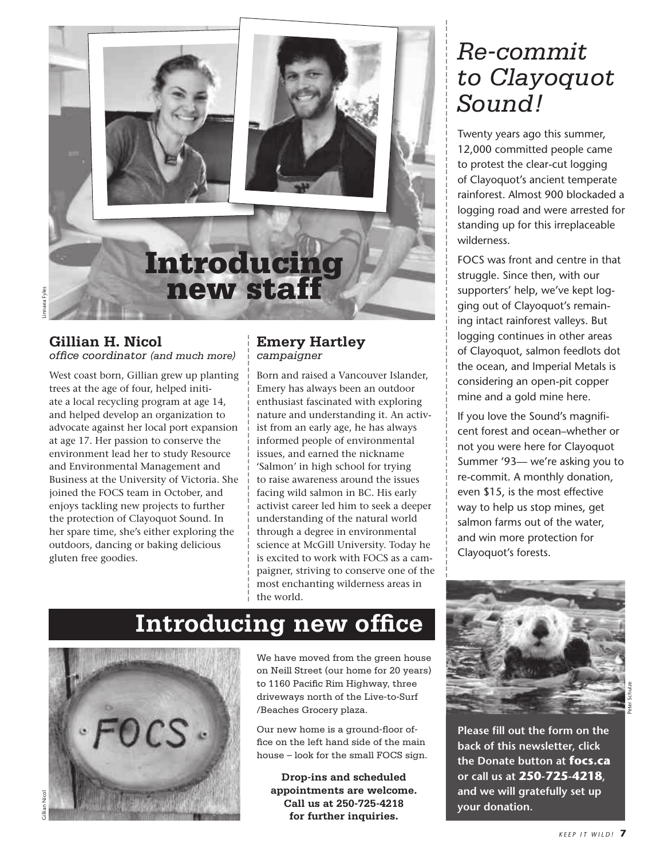

### **Gillian H. Nicol**

*office coordinator (and much more)*

West coast born, Gillian grew up planting trees at the age of four, helped initiate a local recycling program at age 14, and helped develop an organization to advocate against her local port expansion at age 17. Her passion to conserve the environment lead her to study Resource and Environmental Management and Business at the University of Victoria. She joined the FOCS team in October, and enjoys tackling new projects to further the protection of Clayoquot Sound. In her spare time, she's either exploring the outdoors, dancing or baking delicious gluten free goodies.

### **Emery Hartley** *campaigner*

Born and raised a Vancouver Islander, Emery has always been an outdoor enthusiast fascinated with exploring nature and understanding it. An activist from an early age, he has always informed people of environmental issues, and earned the nickname 'Salmon' in high school for trying to raise awareness around the issues facing wild salmon in BC. His early activist career led him to seek a deeper understanding of the natural world through a degree in environmental science at McGill University. Today he is excited to work with FOCS as a campaigner, striving to conserve one of the most enchanting wilderness areas in the world.

### **Introducing new office**



We have moved from the green house on Neill Street (our home for 20 years) to 1160 Pacific Rim Highway, three driveways north of the Live-to-Surf /Beaches Grocery plaza.

Our new home is a ground-floor office on the left hand side of the main house – look for the small FOCS sign.

**Drop-ins and scheduled appointments are welcome. Call us at 250-725-4218 for further inquiries.**

### *Re-commit to Clayoquot Sound!*

Twenty years ago this summer, 12,000 committed people came to protest the clear-cut logging of Clayoquot's ancient temperate rainforest. Almost 900 blockaded a logging road and were arrested for standing up for this irreplaceable wilderness.

FOCS was front and centre in that struggle. Since then, with our supporters' help, we've kept logging out of Clayoquot's remaining intact rainforest valleys. But logging continues in other areas of Clayoquot, salmon feedlots dot the ocean, and Imperial Metals is considering an open-pit copper mine and a gold mine here.

If you love the Sound's magnificent forest and ocean–whether or not you were here for Clayoquot Summer '93— we're asking you to re-commit. A monthly donation, even \$15, is the most effective way to help us stop mines, get salmon farms out of the water, and win more protection for Clayoquot's forests.



**Please fill out the form on the back of this newsletter, click the Donate button at focs.ca or call us at 250-725-4218, and we will gratefully set up your donation.**